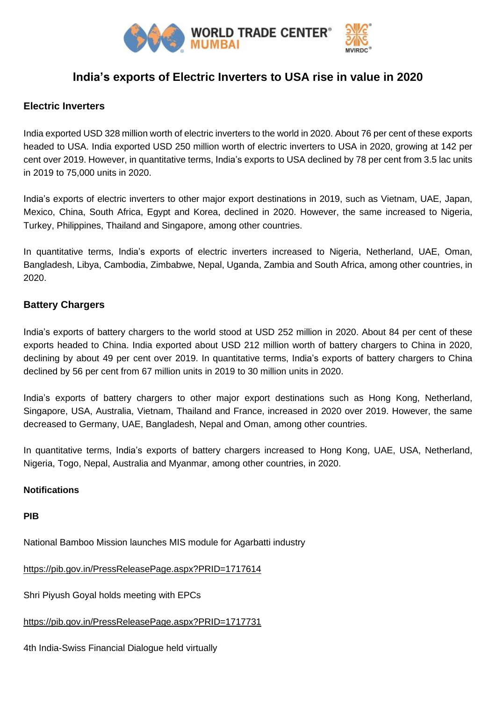

# **India's exports of Electric Inverters to USA rise in value in 2020**

## **Electric Inverters**

India exported USD 328 million worth of electric inverters to the world in 2020. About 76 per cent of these exports headed to USA. India exported USD 250 million worth of electric inverters to USA in 2020, growing at 142 per cent over 2019. However, in quantitative terms, India's exports to USA declined by 78 per cent from 3.5 lac units in 2019 to 75,000 units in 2020.

India's exports of electric inverters to other major export destinations in 2019, such as Vietnam, UAE, Japan, Mexico, China, South Africa, Egypt and Korea, declined in 2020. However, the same increased to Nigeria, Turkey, Philippines, Thailand and Singapore, among other countries.

In quantitative terms, India's exports of electric inverters increased to Nigeria, Netherland, UAE, Oman, Bangladesh, Libya, Cambodia, Zimbabwe, Nepal, Uganda, Zambia and South Africa, among other countries, in 2020.

## **Battery Chargers**

India's exports of battery chargers to the world stood at USD 252 million in 2020. About 84 per cent of these exports headed to China. India exported about USD 212 million worth of battery chargers to China in 2020, declining by about 49 per cent over 2019. In quantitative terms, India's exports of battery chargers to China declined by 56 per cent from 67 million units in 2019 to 30 million units in 2020.

India's exports of battery chargers to other major export destinations such as Hong Kong, Netherland, Singapore, USA, Australia, Vietnam, Thailand and France, increased in 2020 over 2019. However, the same decreased to Germany, UAE, Bangladesh, Nepal and Oman, among other countries.

In quantitative terms, India's exports of battery chargers increased to Hong Kong, UAE, USA, Netherland, Nigeria, Togo, Nepal, Australia and Myanmar, among other countries, in 2020.

### **Notifications**

### **PIB**

National Bamboo Mission launches MIS module for Agarbatti industry

<https://pib.gov.in/PressReleasePage.aspx?PRID=1717614>

Shri Piyush Goyal holds meeting with EPCs

<https://pib.gov.in/PressReleasePage.aspx?PRID=1717731>

4th India-Swiss Financial Dialogue held virtually